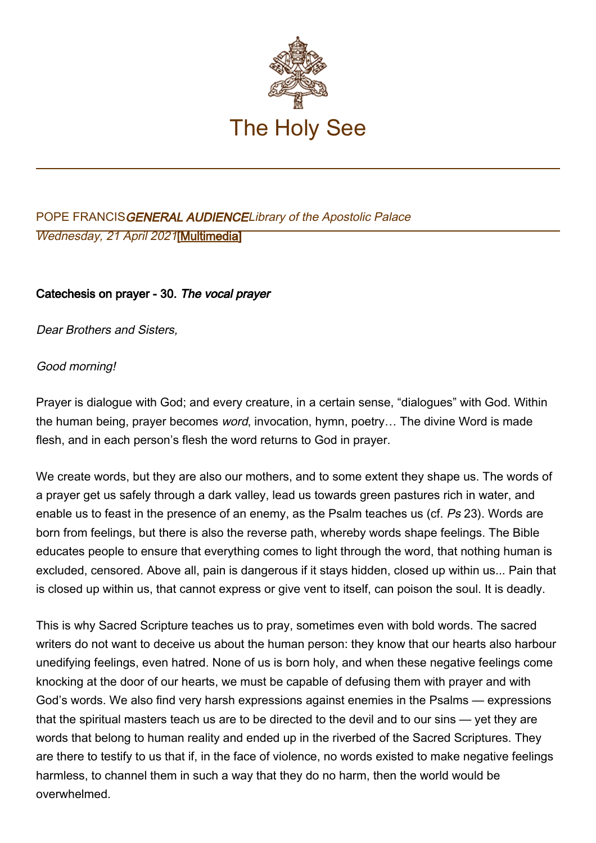

# POPE FRANCISGENERAL AUDIENCELibrary of the Apostolic Palace Wednesday, 21 April 2021[[Multimedia\]](http://w2.vatican.va/content/francesco/en/events/event.dir.html/content/vaticanevents/en/2021/4/21/udienzagenerale.html)

## Catechesis on prayer - 30. The vocal prayer

Dear Brothers and Sisters,

#### Good morning!

Prayer is dialogue with God; and every creature, in a certain sense, "dialogues" with God. Within the human being, prayer becomes word, invocation, hymn, poetry… The divine Word is made flesh, and in each person's flesh the word returns to God in prayer.

We create words, but they are also our mothers, and to some extent they shape us. The words of a prayer get us safely through a dark valley, lead us towards green pastures rich in water, and enable us to feast in the presence of an enemy, as the Psalm teaches us (cf. Ps 23). Words are born from feelings, but there is also the reverse path, whereby words shape feelings. The Bible educates people to ensure that everything comes to light through the word, that nothing human is excluded, censored. Above all, pain is dangerous if it stays hidden, closed up within us... Pain that is closed up within us, that cannot express or give vent to itself, can poison the soul. It is deadly.

This is why Sacred Scripture teaches us to pray, sometimes even with bold words. The sacred writers do not want to deceive us about the human person: they know that our hearts also harbour unedifying feelings, even hatred. None of us is born holy, and when these negative feelings come knocking at the door of our hearts, we must be capable of defusing them with prayer and with God's words. We also find very harsh expressions against enemies in the Psalms — expressions that the spiritual masters teach us are to be directed to the devil and to our sins — yet they are words that belong to human reality and ended up in the riverbed of the Sacred Scriptures. They are there to testify to us that if, in the face of violence, no words existed to make negative feelings harmless, to channel them in such a way that they do no harm, then the world would be overwhelmed.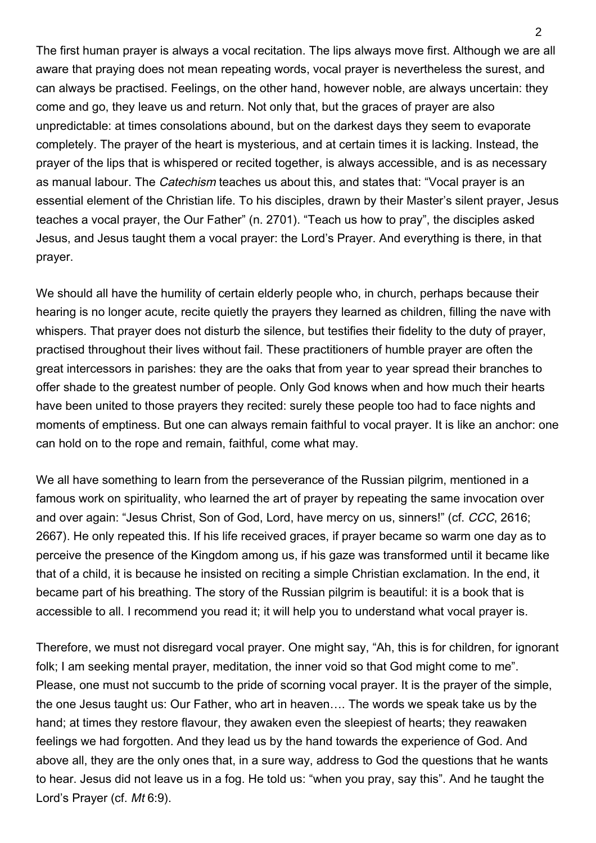The first human prayer is always a vocal recitation. The lips always move first. Although we are all aware that praying does not mean repeating words, vocal prayer is nevertheless the surest, and can always be practised. Feelings, on the other hand, however noble, are always uncertain: they come and go, they leave us and return. Not only that, but the graces of prayer are also unpredictable: at times consolations abound, but on the darkest days they seem to evaporate completely. The prayer of the heart is mysterious, and at certain times it is lacking. Instead, the prayer of the lips that is whispered or recited together, is always accessible, and is as necessary as manual labour. The Catechism teaches us about this, and states that: "Vocal prayer is an essential element of the Christian life. To his disciples, drawn by their Master's silent prayer, Jesus teaches a vocal prayer, the Our Father" (n. 2701). "Teach us how to pray", the disciples asked Jesus, and Jesus taught them a vocal prayer: the Lord's Prayer. And everything is there, in that prayer.

We should all have the humility of certain elderly people who, in church, perhaps because their hearing is no longer acute, recite quietly the prayers they learned as children, filling the nave with whispers. That prayer does not disturb the silence, but testifies their fidelity to the duty of prayer, practised throughout their lives without fail. These practitioners of humble prayer are often the great intercessors in parishes: they are the oaks that from year to year spread their branches to offer shade to the greatest number of people. Only God knows when and how much their hearts have been united to those prayers they recited: surely these people too had to face nights and moments of emptiness. But one can always remain faithful to vocal prayer. It is like an anchor: one can hold on to the rope and remain, faithful, come what may.

We all have something to learn from the perseverance of the Russian pilgrim, mentioned in a famous work on spirituality, who learned the art of prayer by repeating the same invocation over and over again: "Jesus Christ, Son of God, Lord, have mercy on us, sinners!" (cf. CCC, 2616; 2667). He only repeated this. If his life received graces, if prayer became so warm one day as to perceive the presence of the Kingdom among us, if his gaze was transformed until it became like that of a child, it is because he insisted on reciting a simple Christian exclamation. In the end, it became part of his breathing. The story of the Russian pilgrim is beautiful: it is a book that is accessible to all. I recommend you read it; it will help you to understand what vocal prayer is.

Therefore, we must not disregard vocal prayer. One might say, "Ah, this is for children, for ignorant folk; I am seeking mental prayer, meditation, the inner void so that God might come to me". Please, one must not succumb to the pride of scorning vocal prayer. It is the prayer of the simple, the one Jesus taught us: Our Father, who art in heaven…. The words we speak take us by the hand; at times they restore flavour, they awaken even the sleepiest of hearts; they reawaken feelings we had forgotten. And they lead us by the hand towards the experience of God. And above all, they are the only ones that, in a sure way, address to God the questions that he wants to hear. Jesus did not leave us in a fog. He told us: "when you pray, say this". And he taught the Lord's Prayer (cf. Mt 6:9).